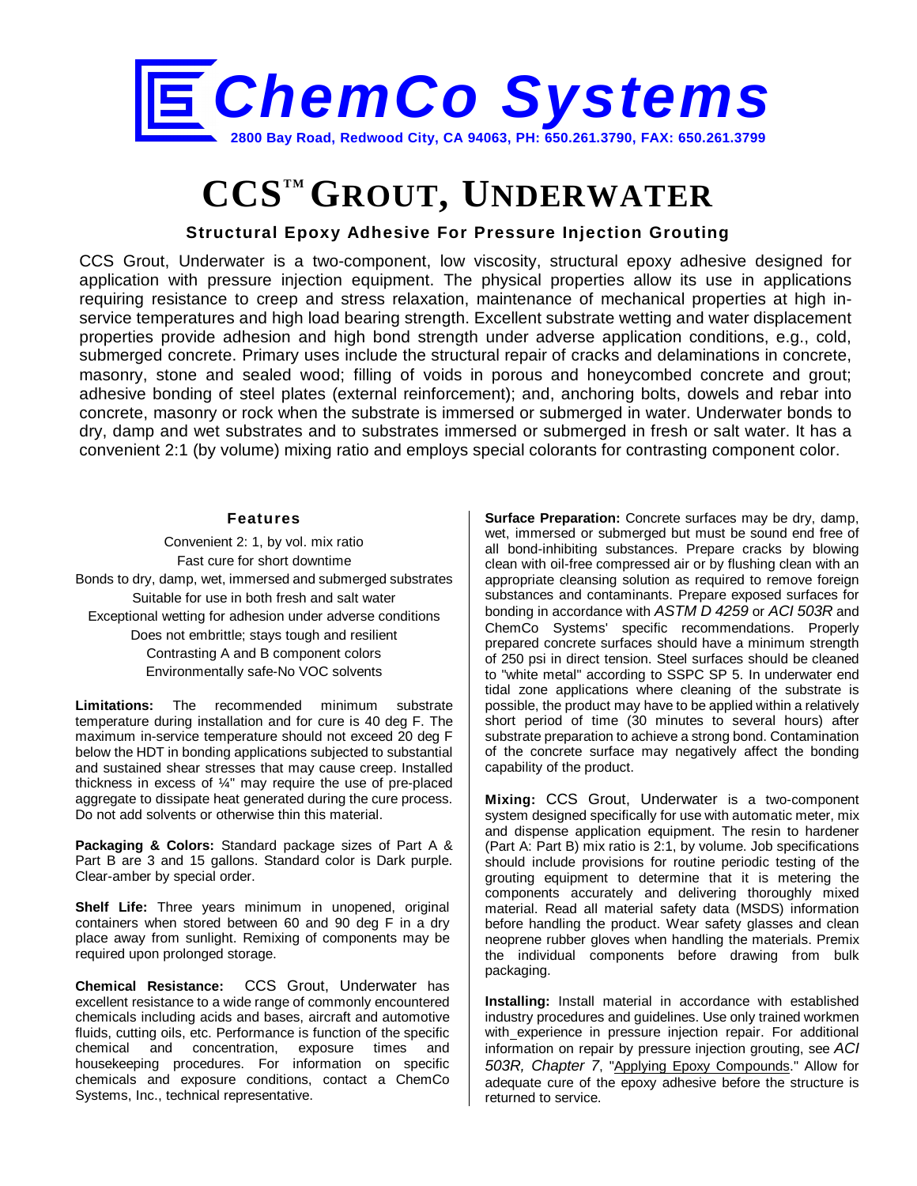

## **CCSTM GROUT, UNDERWATER**

## **Structural Epoxy Adhesive For Pressure Injection Grouting**

CCS Grout, Underwater is a two-component, low viscosity, structural epoxy adhesive designed for application with pressure injection equipment. The physical properties allow its use in applications requiring resistance to creep and stress relaxation, maintenance of mechanical properties at high inservice temperatures and high load bearing strength. Excellent substrate wetting and water displacement properties provide adhesion and high bond strength under adverse application conditions, e.g., cold, submerged concrete. Primary uses include the structural repair of cracks and delaminations in concrete, masonry, stone and sealed wood; filling of voids in porous and honeycombed concrete and grout; adhesive bonding of steel plates (external reinforcement); and, anchoring bolts, dowels and rebar into concrete, masonry or rock when the substrate is immersed or submerged in water. Underwater bonds to dry, damp and wet substrates and to substrates immersed or submerged in fresh or salt water. It has a convenient 2:1 (by volume) mixing ratio and employs special colorants for contrasting component color.

## **Features**

Convenient 2: 1, by vol. mix ratio Fast cure for short downtime Bonds to dry, damp, wet, immersed and submerged substrates Suitable for use in both fresh and salt water Exceptional wetting for adhesion under adverse conditions Does not embrittle; stays tough and resilient Contrasting A and B component colors Environmentally safe-No VOC solvents

**Limitations:** The recommended minimum substrate temperature during installation and for cure is 40 deg F. The maximum in-service temperature should not exceed 20 deg F below the HDT in bonding applications subjected to substantial and sustained shear stresses that may cause creep. Installed thickness in excess of ¼" may require the use of pre-placed aggregate to dissipate heat generated during the cure process. Do not add solvents or otherwise thin this material.

**Packaging & Colors:** Standard package sizes of Part A & Part B are 3 and 15 gallons. Standard color is Dark purple. Clear-amber by special order.

**Shelf Life:** Three years minimum in unopened, original containers when stored between 60 and 90 deg F in a dry place away from sunlight. Remixing of components may be required upon prolonged storage.

**Chemical Resistance:** CCS Grout, Underwater has excellent resistance to a wide range of commonly encountered chemicals including acids and bases, aircraft and automotive fluids, cutting oils, etc. Performance is function of the specific chemical and concentration, exposure times and housekeeping procedures. For information on specific chemicals and exposure conditions, contact a ChemCo Systems, Inc., technical representative.

**Surface Preparation:** Concrete surfaces may be dry, damp, wet, immersed or submerged but must be sound end free of all bond-inhibiting substances. Prepare cracks by blowing clean with oil-free compressed air or by flushing clean with an appropriate cleansing solution as required to remove foreign substances and contaminants. Prepare exposed surfaces for bonding in accordance with *ASTM D 4259* or *ACI 503R* and ChemCo Systems' specific recommendations. Properly prepared concrete surfaces should have a minimum strength of 250 psi in direct tension. Steel surfaces should be cleaned to "white metal" according to SSPC SP 5. In underwater end tidal zone applications where cleaning of the substrate is possible, the product may have to be applied within a relatively short period of time (30 minutes to several hours) after substrate preparation to achieve a strong bond. Contamination of the concrete surface may negatively affect the bonding capability of the product.

**Mixing:** CCS Grout, Underwater is a two-component system designed specifically for use with automatic meter, mix and dispense application equipment. The resin to hardener (Part A: Part B) mix ratio is 2:1, by volume. Job specifications should include provisions for routine periodic testing of the grouting equipment to determine that it is metering the components accurately and delivering thoroughly mixed material. Read all material safety data (MSDS) information before handling the product. Wear safety glasses and clean neoprene rubber gloves when handling the materials. Premix the individual components before drawing from bulk packaging.

**Installing:** Install material in accordance with established industry procedures and guidelines. Use only trained workmen with experience in pressure injection repair. For additional information on repair by pressure injection grouting, see *ACI 503R, Chapter 7*, "Applying Epoxy Compounds." Allow for adequate cure of the epoxy adhesive before the structure is returned to service.